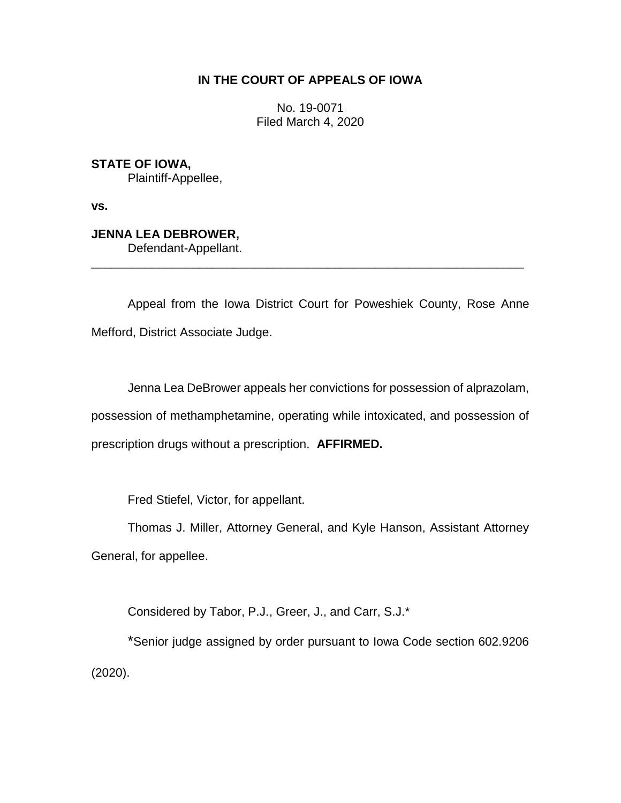## **IN THE COURT OF APPEALS OF IOWA**

No. 19-0071 Filed March 4, 2020

**STATE OF IOWA,** Plaintiff-Appellee,

**vs.**

## **JENNA LEA DEBROWER,**

Defendant-Appellant.

Appeal from the Iowa District Court for Poweshiek County, Rose Anne Mefford, District Associate Judge.

\_\_\_\_\_\_\_\_\_\_\_\_\_\_\_\_\_\_\_\_\_\_\_\_\_\_\_\_\_\_\_\_\_\_\_\_\_\_\_\_\_\_\_\_\_\_\_\_\_\_\_\_\_\_\_\_\_\_\_\_\_\_\_\_

Jenna Lea DeBrower appeals her convictions for possession of alprazolam, possession of methamphetamine, operating while intoxicated, and possession of prescription drugs without a prescription. **AFFIRMED.**

Fred Stiefel, Victor, for appellant.

Thomas J. Miller, Attorney General, and Kyle Hanson, Assistant Attorney General, for appellee.

Considered by Tabor, P.J., Greer, J., and Carr, S.J.\*

\*Senior judge assigned by order pursuant to Iowa Code section 602.9206 (2020).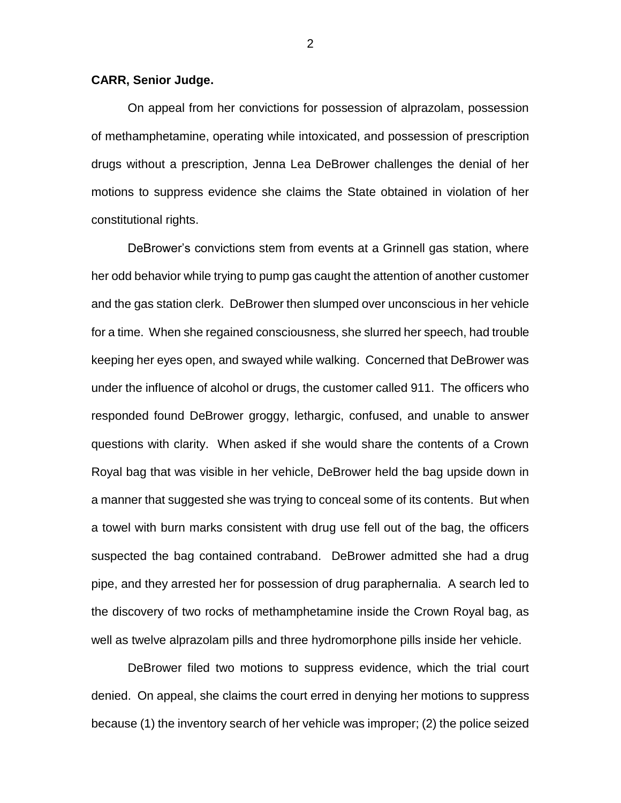## **CARR, Senior Judge.**

On appeal from her convictions for possession of alprazolam, possession of methamphetamine, operating while intoxicated, and possession of prescription drugs without a prescription, Jenna Lea DeBrower challenges the denial of her motions to suppress evidence she claims the State obtained in violation of her constitutional rights.

DeBrower's convictions stem from events at a Grinnell gas station, where her odd behavior while trying to pump gas caught the attention of another customer and the gas station clerk. DeBrower then slumped over unconscious in her vehicle for a time. When she regained consciousness, she slurred her speech, had trouble keeping her eyes open, and swayed while walking. Concerned that DeBrower was under the influence of alcohol or drugs, the customer called 911. The officers who responded found DeBrower groggy, lethargic, confused, and unable to answer questions with clarity. When asked if she would share the contents of a Crown Royal bag that was visible in her vehicle, DeBrower held the bag upside down in a manner that suggested she was trying to conceal some of its contents. But when a towel with burn marks consistent with drug use fell out of the bag, the officers suspected the bag contained contraband. DeBrower admitted she had a drug pipe, and they arrested her for possession of drug paraphernalia. A search led to the discovery of two rocks of methamphetamine inside the Crown Royal bag, as well as twelve alprazolam pills and three hydromorphone pills inside her vehicle.

DeBrower filed two motions to suppress evidence, which the trial court denied. On appeal, she claims the court erred in denying her motions to suppress because (1) the inventory search of her vehicle was improper; (2) the police seized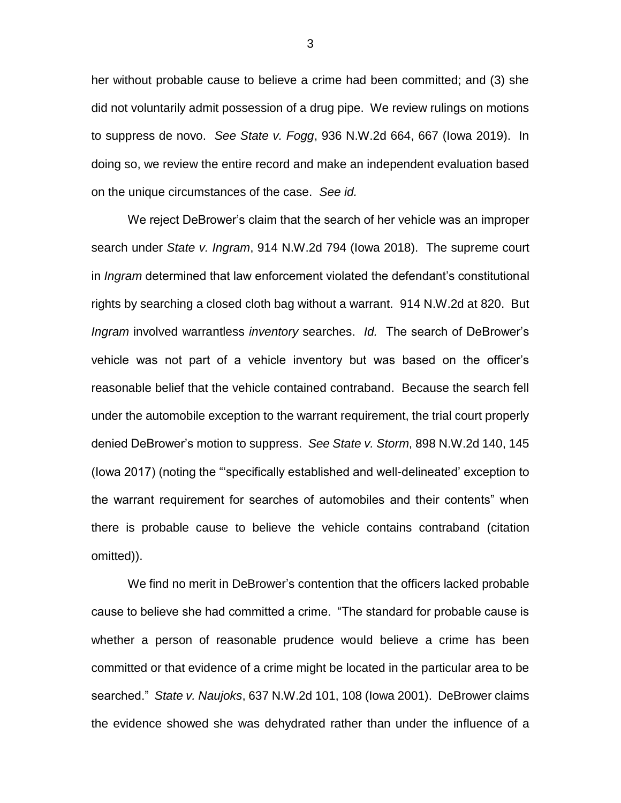her without probable cause to believe a crime had been committed; and (3) she did not voluntarily admit possession of a drug pipe. We review rulings on motions to suppress de novo. *See State v. Fogg*, 936 N.W.2d 664, 667 (Iowa 2019). In doing so, we review the entire record and make an independent evaluation based on the unique circumstances of the case. *See id.*

We reject DeBrower's claim that the search of her vehicle was an improper search under *State v. Ingram*, 914 N.W.2d 794 (Iowa 2018). The supreme court in *Ingram* determined that law enforcement violated the defendant's constitutional rights by searching a closed cloth bag without a warrant. 914 N.W.2d at 820. But *Ingram* involved warrantless *inventory* searches. *Id.* The search of DeBrower's vehicle was not part of a vehicle inventory but was based on the officer's reasonable belief that the vehicle contained contraband. Because the search fell under the automobile exception to the warrant requirement, the trial court properly denied DeBrower's motion to suppress. *See State v. Storm*, 898 N.W.2d 140, 145 (Iowa 2017) (noting the "'specifically established and well-delineated' exception to the warrant requirement for searches of automobiles and their contents" when there is probable cause to believe the vehicle contains contraband (citation omitted)).

We find no merit in DeBrower's contention that the officers lacked probable cause to believe she had committed a crime. "The standard for probable cause is whether a person of reasonable prudence would believe a crime has been committed or that evidence of a crime might be located in the particular area to be searched." *State v. Naujoks*, 637 N.W.2d 101, 108 (Iowa 2001). DeBrower claims the evidence showed she was dehydrated rather than under the influence of a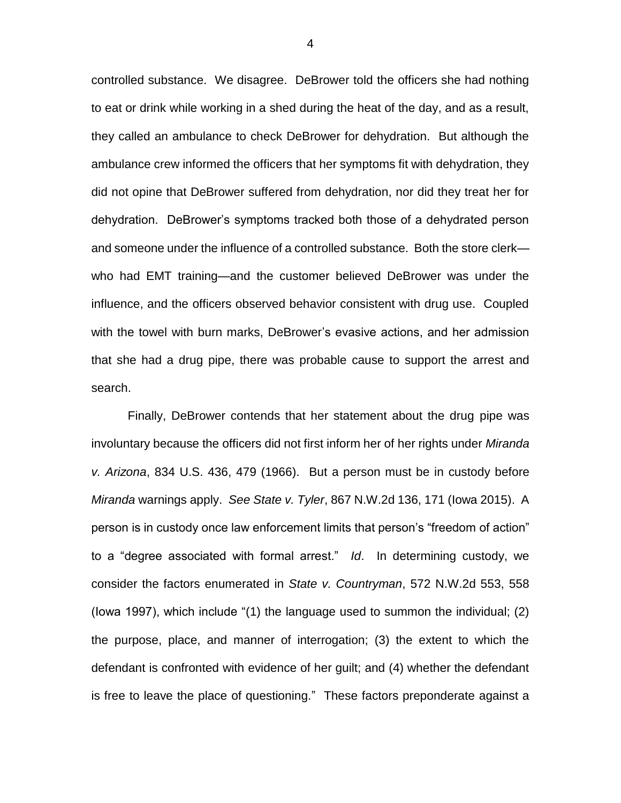controlled substance. We disagree. DeBrower told the officers she had nothing to eat or drink while working in a shed during the heat of the day, and as a result, they called an ambulance to check DeBrower for dehydration. But although the ambulance crew informed the officers that her symptoms fit with dehydration, they did not opine that DeBrower suffered from dehydration, nor did they treat her for dehydration. DeBrower's symptoms tracked both those of a dehydrated person and someone under the influence of a controlled substance. Both the store clerk who had EMT training—and the customer believed DeBrower was under the influence, and the officers observed behavior consistent with drug use. Coupled with the towel with burn marks, DeBrower's evasive actions, and her admission that she had a drug pipe, there was probable cause to support the arrest and search.

Finally, DeBrower contends that her statement about the drug pipe was involuntary because the officers did not first inform her of her rights under *Miranda v. Arizona*, 834 U.S. 436, 479 (1966).But a person must be in custody before *Miranda* warnings apply. *See State v. Tyler*, 867 N.W.2d 136, 171 (Iowa 2015). A person is in custody once law enforcement limits that person's "freedom of action" to a "degree associated with formal arrest." *Id*. In determining custody, we consider the factors enumerated in *State v. Countryman*, 572 N.W.2d 553, 558 (Iowa 1997), which include "(1) the language used to summon the individual; (2) the purpose, place, and manner of interrogation; (3) the extent to which the defendant is confronted with evidence of her guilt; and (4) whether the defendant is free to leave the place of questioning." These factors preponderate against a

4